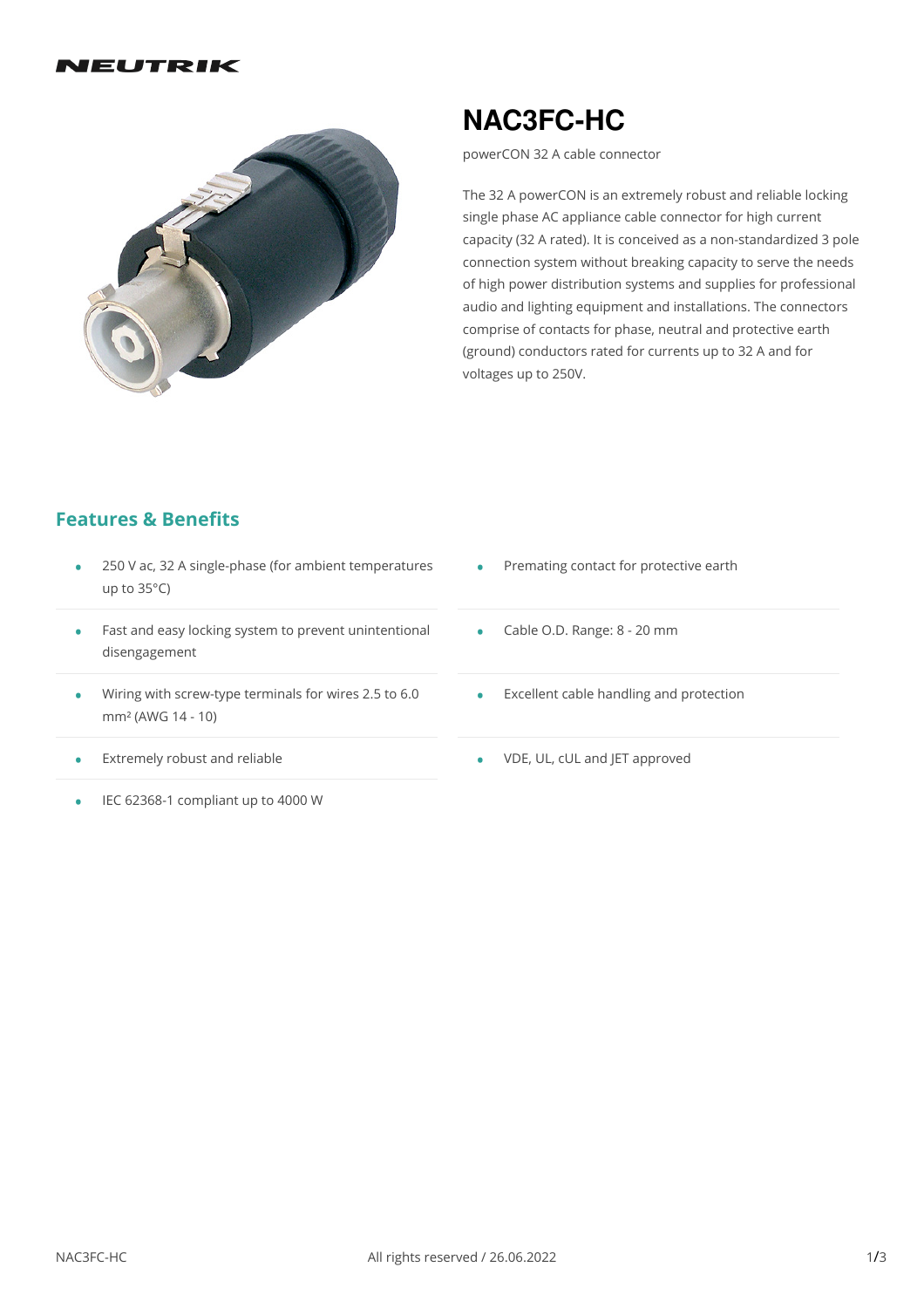#### IEUTRIK



# **NAC3FC-HC**

powerCON 32 A cable connector

The 32 A powerCON is an extremely robust and reliable locking single phase AC appliance cable connector for high current capacity (32 A rated). It is conceived as a non-standardized 3 pole connection system without breaking capacity to serve the needs of high power distribution systems and supplies for professional audio and lighting equipment and installations. The connectors comprise of contacts for phase, neutral and protective earth (ground) conductors rated for currents up to 32 A and for voltages up to 250V.

#### **Features & Benefits**

- 250 V ac,32 A single-phase (for ambient temperatures up to 35°C) •
- Fast and easy locking system to prevent unintentional Ca<br>disengagement
- Wiring with screw-type terminals for wires 2.5 to 6.0 • Wiring with screw-t<br>mm² (AWG 14 - 10)
- Extremely robust and reliable •
- IEC 62368-1 compliant up to 4000 W
- Premating contact for protective earth •
- Cable O.D. Range: 8 20 mm
- Excellent cable handling and protection •
- VDE, UL, cUL and JET approved •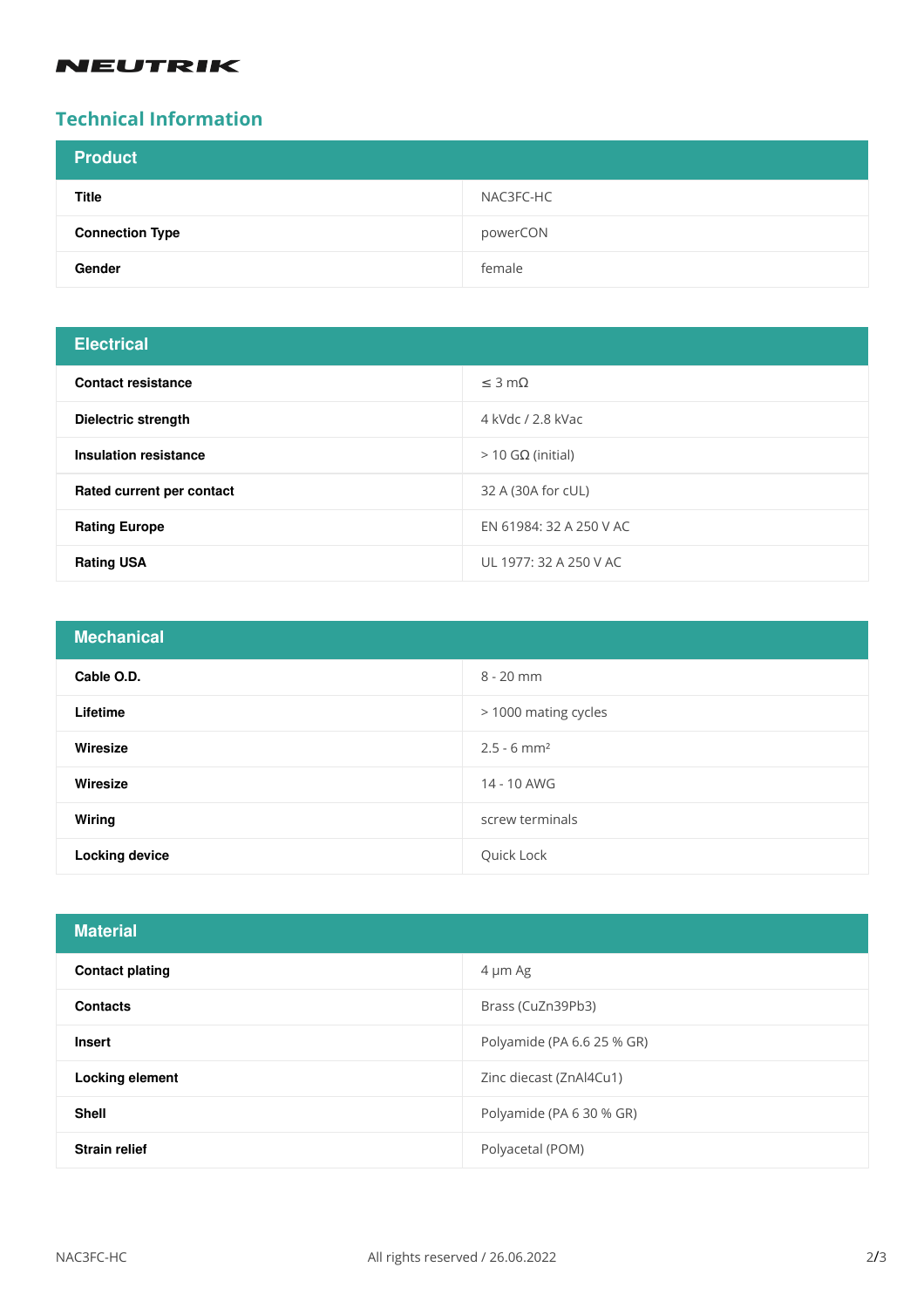### **NEUTRIK**

## **Technical Information**

| <b>Product</b>         |           |
|------------------------|-----------|
| <b>Title</b>           | NAC3FC-HC |
| <b>Connection Type</b> | powerCON  |
| Gender                 | female    |

## **Electrical**

| $-0.0011001$                 |                         |
|------------------------------|-------------------------|
| <b>Contact resistance</b>    | $\leq$ 3 m $\Omega$     |
| Dielectric strength          | 4 kVdc / 2.8 kVac       |
| <b>Insulation resistance</b> | $>$ 10 GΩ (initial)     |
| Rated current per contact    | 32 A (30A for cUL)      |
| <b>Rating Europe</b>         | EN 61984: 32 A 250 V AC |
| <b>Rating USA</b>            | UL 1977: 32 A 250 V AC  |

| <b>Mechanical</b>     |                           |
|-----------------------|---------------------------|
| Cable O.D.            | $8 - 20$ mm               |
| Lifetime              | > 1000 mating cycles      |
| Wiresize              | $2.5 - 6$ mm <sup>2</sup> |
| Wiresize              | 14 - 10 AWG               |
| <b>Wiring</b>         | screw terminals           |
| <b>Locking device</b> | Quick Lock                |

| <b>Material</b>        |                            |
|------------------------|----------------------------|
| <b>Contact plating</b> | 4 µm Ag                    |
| <b>Contacts</b>        | Brass (CuZn39Pb3)          |
| <b>Insert</b>          | Polyamide (PA 6.6 25 % GR) |
| <b>Locking element</b> | Zinc diecast (ZnAl4Cu1)    |
| <b>Shell</b>           | Polyamide (PA 6 30 % GR)   |
| <b>Strain relief</b>   | Polyacetal (POM)           |